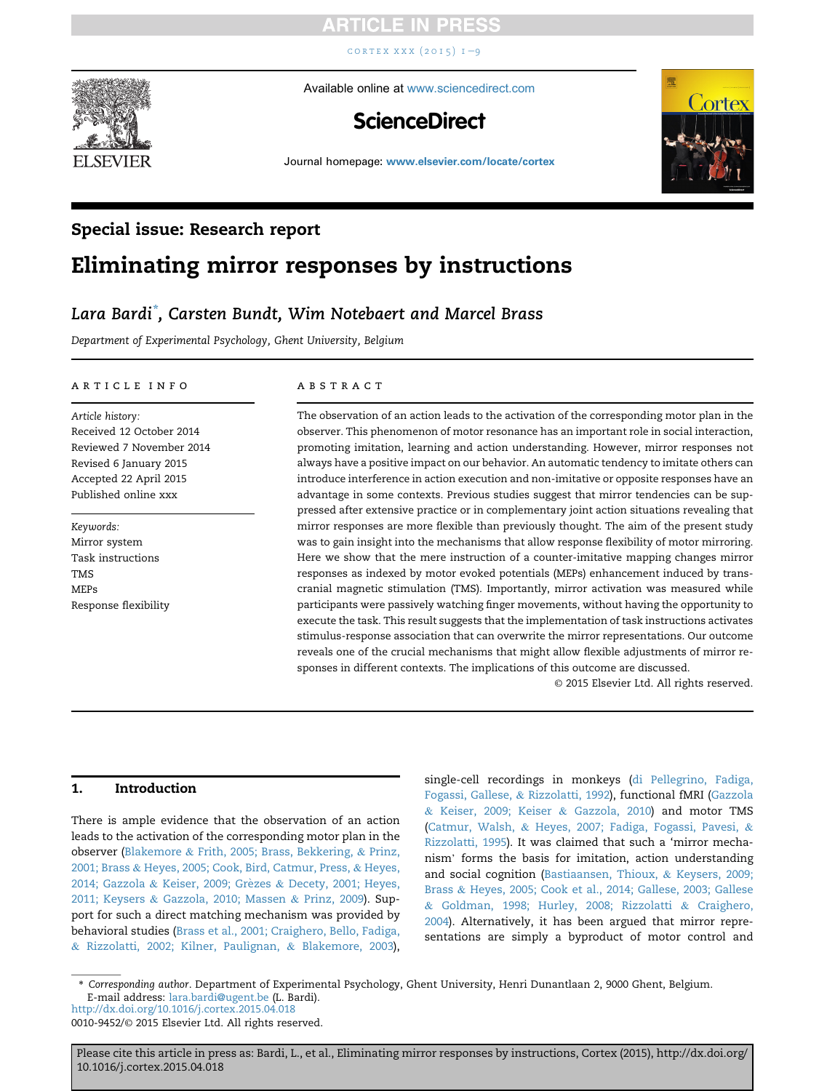CORTEX XXX  $(2015)$   $1 - 9$  $1 - 9$ 



Available online at [www.sciencedirect.com](www.sciencedirect.com/science/journal/00109452)

## **ScienceDirect**



Journal homepage: <www.elsevier.com/locate/cortex>

### Special issue: Research report

# Eliminating mirror responses by instructions

### Lara Bardi\* , Carsten Bundt, Wim Notebaert and Marcel Brass

Department of Experimental Psychology, Ghent University, Belgium

#### article info

Article history: Received 12 October 2014 Reviewed 7 November 2014 Revised 6 January 2015 Accepted 22 April 2015 Published online xxx

Keywords: Mirror system Task instructions TMS MEPs Response flexibility

#### **ABSTRACT**

The observation of an action leads to the activation of the corresponding motor plan in the observer. This phenomenon of motor resonance has an important role in social interaction, promoting imitation, learning and action understanding. However, mirror responses not always have a positive impact on our behavior. An automatic tendency to imitate others can introduce interference in action execution and non-imitative or opposite responses have an advantage in some contexts. Previous studies suggest that mirror tendencies can be suppressed after extensive practice or in complementary joint action situations revealing that mirror responses are more flexible than previously thought. The aim of the present study was to gain insight into the mechanisms that allow response flexibility of motor mirroring. Here we show that the mere instruction of a counter-imitative mapping changes mirror responses as indexed by motor evoked potentials (MEPs) enhancement induced by transcranial magnetic stimulation (TMS). Importantly, mirror activation was measured while participants were passively watching finger movements, without having the opportunity to execute the task. This result suggests that the implementation of task instructions activates stimulus-response association that can overwrite the mirror representations. Our outcome reveals one of the crucial mechanisms that might allow flexible adjustments of mirror responses in different contexts. The implications of this outcome are discussed.

© 2015 Elsevier Ltd. All rights reserved.

#### 1. Introduction

There is ample evidence that the observation of an action leads to the activation of the corresponding motor plan in the observer ([Blakemore](#page-6-0) & [Frith, 2005; Brass, Bekkering,](#page-6-0) & [Prinz,](#page-6-0) [2001; Brass](#page-6-0) & [Heyes, 2005; Cook, Bird, Catmur, Press,](#page-6-0) & [Heyes,](#page-6-0) [2014; Gazzola](#page-6-0) & [Keiser, 2009; Gr](#page-6-0)è[zes](#page-6-0) & [Decety, 2001; Heyes,](#page-6-0) [2011; Keysers](#page-6-0) & [Gazzola, 2010; Massen](#page-6-0) & [Prinz, 2009\)](#page-6-0). Support for such a direct matching mechanism was provided by behavioral studies [\(Brass et al., 2001; Craighero, Bello, Fadiga,](#page-6-0) & [Rizzolatti, 2002; Kilner, Paulignan,](#page-6-0) & [Blakemore, 2003](#page-6-0)),

single-cell recordings in monkeys ([di Pellegrino, Fadiga,](#page-7-0) [Fogassi, Gallese,](#page-7-0) & [Rizzolatti, 1992\)](#page-7-0), functional fMRI [\(Gazzola](#page-7-0) & [Keiser, 2009; Keiser](#page-7-0) & [Gazzola, 2010\)](#page-7-0) and motor TMS [\(Catmur, Walsh,](#page-7-0) & [Heyes, 2007; Fadiga, Fogassi, Pavesi,](#page-7-0) & [Rizzolatti, 1995\)](#page-7-0). It was claimed that such a 'mirror mecha-nism' forms the basis for imitation, action understanding and social cognition ([Bastiaansen, Thioux,](#page-6-0) & [Keysers, 2009;](#page-6-0) [Brass](#page-6-0) & [Heyes, 2005; Cook et al., 2014; Gallese, 2003; Gallese](#page-6-0) & [Goldman, 1998; Hurley, 2008; Rizzolatti](#page-6-0) & [Craighero,](#page-6-0) [2004](#page-6-0)). Alternatively, it has been argued that mirror representations are simply a byproduct of motor control and

\* Corresponding author. Department of Experimental Psychology, Ghent University, Henri Dunantlaan 2, 9000 Ghent, Belgium. E-mail address: [lara.bardi@ugent.be](mailto:lara.bardi@ugent.be) (L. Bardi).

<http://dx.doi.org/10.1016/j.cortex.2015.04.018>

0010-9452/© 2015 Elsevier Ltd. All rights reserved.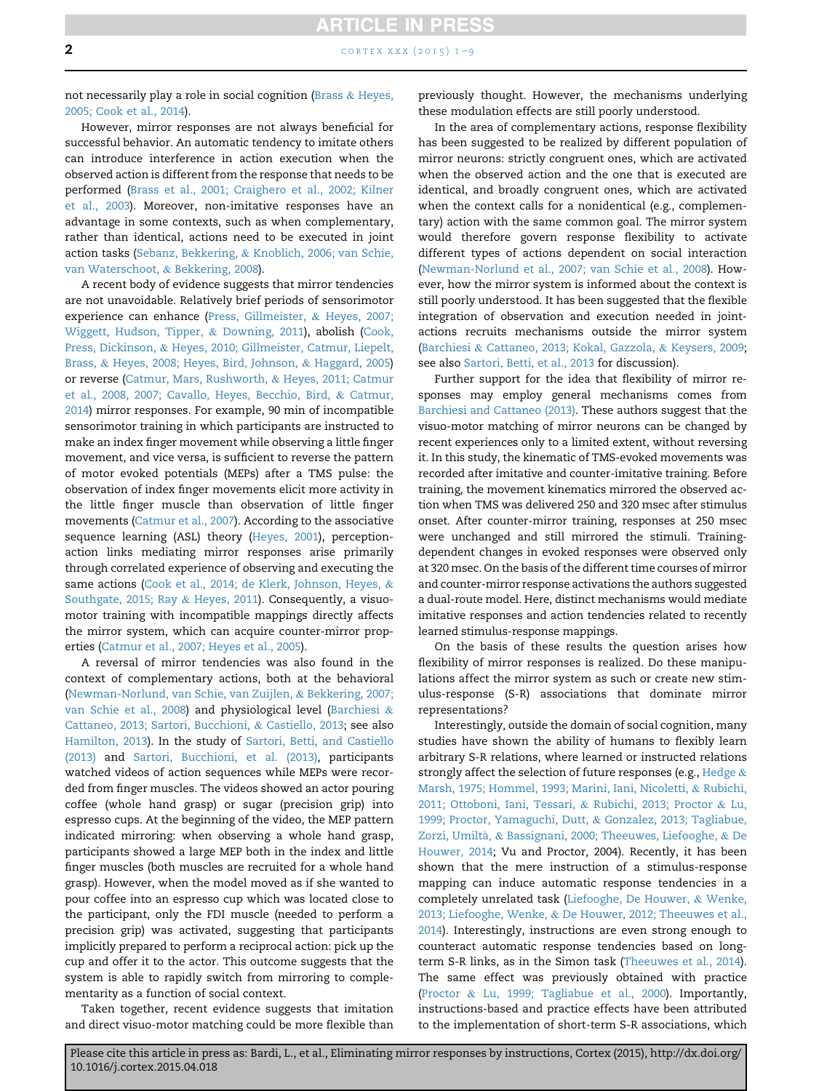**2** cortex xxx (2015)  $1-\frac{9}{2}$  $1-\frac{9}{2}$  $1-\frac{9}{2}$ 

not necessarily play a role in social cognition ([Brass](#page-7-0) & [Heyes,](#page-7-0) [2005; Cook et al., 2014](#page-7-0)).

However, mirror responses are not always beneficial for successful behavior. An automatic tendency to imitate others can introduce interference in action execution when the observed action is different from the response that needs to be performed ([Brass et al., 2001; Craighero et al., 2002; Kilner](#page-6-0) [et al., 2003](#page-6-0)). Moreover, non-imitative responses have an advantage in some contexts, such as when complementary, rather than identical, actions need to be executed in joint action tasks [\(Sebanz, Bekkering,](#page-8-0) & [Knoblich, 2006; van Schie,](#page-8-0) [van Waterschoot,](#page-8-0) & [Bekkering, 2008\)](#page-8-0).

A recent body of evidence suggests that mirror tendencies are not unavoidable. Relatively brief periods of sensorimotor experience can enhance [\(Press, Gillmeister,](#page-7-0) & [Heyes, 2007;](#page-7-0) [Wiggett, Hudson, Tipper,](#page-7-0) & [Downing, 2011](#page-7-0)), abolish ([Cook,](#page-7-0) [Press, Dickinson,](#page-7-0) & [Heyes, 2010; Gillmeister, Catmur, Liepelt,](#page-7-0) [Brass,](#page-7-0) & [Heyes, 2008; Heyes, Bird, Johnson,](#page-7-0) & [Haggard, 2005\)](#page-7-0) or reverse [\(Catmur, Mars, Rushworth,](#page-7-0) & [Heyes, 2011; Catmur](#page-7-0) [et al., 2008, 2007; Cavallo, Heyes, Becchio, Bird,](#page-7-0) & [Catmur,](#page-7-0) [2014\)](#page-7-0) mirror responses. For example, 90 min of incompatible sensorimotor training in which participants are instructed to make an index finger movement while observing a little finger movement, and vice versa, is sufficient to reverse the pattern of motor evoked potentials (MEPs) after a TMS pulse: the observation of index finger movements elicit more activity in the little finger muscle than observation of little finger movements [\(Catmur et al., 2007](#page-7-0)). According to the associative sequence learning (ASL) theory ([Heyes, 2001\)](#page-7-0), perceptionaction links mediating mirror responses arise primarily through correlated experience of observing and executing the same actions [\(Cook et al., 2014; de Klerk, Johnson, Heyes,](#page-7-0) & [Southgate, 2015; Ray](#page-7-0) & [Heyes, 2011\)](#page-7-0). Consequently, a visuomotor training with incompatible mappings directly affects the mirror system, which can acquire counter-mirror properties ([Catmur et al., 2007; Heyes et al., 2005\)](#page-7-0).

A reversal of mirror tendencies was also found in the context of complementary actions, both at the behavioral ([Newman-Norlund, van Schie, van Zuijlen,](#page-7-0) & [Bekkering, 2007;](#page-7-0) [van Schie et al., 2008](#page-7-0)) and physiological level ([Barchiesi](#page-6-0) & [Cattaneo, 2013; Sartori, Bucchioni,](#page-6-0) & [Castiello, 2013](#page-6-0); see also [Hamilton, 2013](#page-7-0)). In the study of [Sartori, Betti, and Castiello](#page-8-0) [\(2013\)](#page-8-0) and [Sartori, Bucchioni, et al. \(2013\),](#page-8-0) participants watched videos of action sequences while MEPs were recorded from finger muscles. The videos showed an actor pouring coffee (whole hand grasp) or sugar (precision grip) into espresso cups. At the beginning of the video, the MEP pattern indicated mirroring: when observing a whole hand grasp, participants showed a large MEP both in the index and little finger muscles (both muscles are recruited for a whole hand grasp). However, when the model moved as if she wanted to pour coffee into an espresso cup which was located close to the participant, only the FDI muscle (needed to perform a precision grip) was activated, suggesting that participants implicitly prepared to perform a reciprocal action: pick up the cup and offer it to the actor. This outcome suggests that the system is able to rapidly switch from mirroring to complementarity as a function of social context.

Taken together, recent evidence suggests that imitation and direct visuo-motor matching could be more flexible than previously thought. However, the mechanisms underlying these modulation effects are still poorly understood.

In the area of complementary actions, response flexibility has been suggested to be realized by different population of mirror neurons: strictly congruent ones, which are activated when the observed action and the one that is executed are identical, and broadly congruent ones, which are activated when the context calls for a nonidentical (e.g., complementary) action with the same common goal. The mirror system would therefore govern response flexibility to activate different types of actions dependent on social interaction ([Newman-Norlund et al., 2007; van Schie et al., 2008](#page-7-0)). However, how the mirror system is informed about the context is still poorly understood. It has been suggested that the flexible integration of observation and execution needed in jointactions recruits mechanisms outside the mirror system ([Barchiesi](#page-6-0) & [Cattaneo, 2013; Kokal, Gazzola,](#page-6-0) & [Keysers, 2009](#page-6-0); see also [Sartori, Betti, et al., 2013](#page-8-0) for discussion).

Further support for the idea that flexibility of mirror responses may employ general mechanisms comes from [Barchiesi and Cattaneo \(2013\).](#page-6-0) These authors suggest that the visuo-motor matching of mirror neurons can be changed by recent experiences only to a limited extent, without reversing it. In this study, the kinematic of TMS-evoked movements was recorded after imitative and counter-imitative training. Before training, the movement kinematics mirrored the observed action when TMS was delivered 250 and 320 msec after stimulus onset. After counter-mirror training, responses at 250 msec were unchanged and still mirrored the stimuli. Trainingdependent changes in evoked responses were observed only at 320 msec. On the basis of the different time courses of mirror and counter-mirror response activations the authors suggested a dual-route model. Here, distinct mechanisms would mediate imitative responses and action tendencies related to recently learned stimulus-response mappings.

On the basis of these results the question arises how flexibility of mirror responses is realized. Do these manipulations affect the mirror system as such or create new stimulus-response (S-R) associations that dominate mirror representations?

Interestingly, outside the domain of social cognition, many studies have shown the ability of humans to flexibly learn arbitrary S-R relations, where learned or instructed relations strongly affect the selection of future responses (e.g., [Hedge](#page-7-0) & [Marsh, 1975; Hommel, 1993; Marini, Iani, Nicoletti,](#page-7-0) & [Rubichi,](#page-7-0) [2011; Ottoboni, Iani, Tessari,](#page-7-0) & [Rubichi, 2013; Proctor](#page-7-0) & [Lu,](#page-7-0) [1999; Proctor, Yamaguchi, Dutt,](#page-7-0) & [Gonzalez, 2013; Tagliabue,](#page-7-0) Zorzi, Umiltà, & [Bassignani, 2000; Theeuwes, Liefooghe,](#page-7-0) & [De](#page-7-0) [Houwer, 2014;](#page-7-0) Vu and Proctor, 2004). Recently, it has been shown that the mere instruction of a stimulus-response mapping can induce automatic response tendencies in a completely unrelated task ([Liefooghe, De Houwer,](#page-7-0) & [Wenke,](#page-7-0) [2013; Liefooghe, Wenke,](#page-7-0) & [De Houwer, 2012; Theeuwes et al.,](#page-7-0) [2014\)](#page-7-0). Interestingly, instructions are even strong enough to counteract automatic response tendencies based on longterm S-R links, as in the Simon task ([Theeuwes et al., 2014\)](#page-8-0). The same effect was previously obtained with practice ([Proctor](#page-7-0) & [Lu, 1999; Tagliabue et al., 2000](#page-7-0)). Importantly, instructions-based and practice effects have been attributed to the implementation of short-term S-R associations, which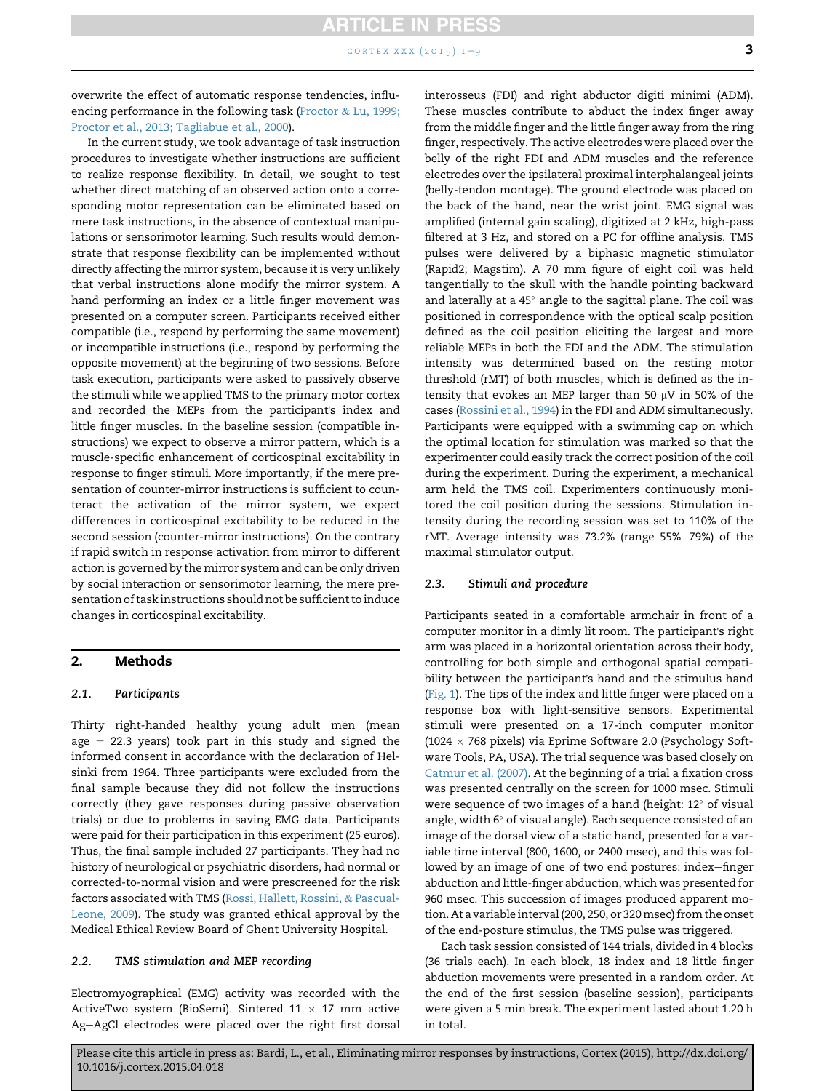CORTEX XXX  $(2015)$   $1-9$  $1-9$  3

overwrite the effect of automatic response tendencies, influ-encing performance in the following task [\(Proctor](#page-7-0)  $&$  [Lu, 1999;](#page-7-0) [Proctor et al., 2013; Tagliabue et al., 2000\)](#page-7-0).

In the current study, we took advantage of task instruction procedures to investigate whether instructions are sufficient to realize response flexibility. In detail, we sought to test whether direct matching of an observed action onto a corresponding motor representation can be eliminated based on mere task instructions, in the absence of contextual manipulations or sensorimotor learning. Such results would demonstrate that response flexibility can be implemented without directly affecting the mirror system, because it is very unlikely that verbal instructions alone modify the mirror system. A hand performing an index or a little finger movement was presented on a computer screen. Participants received either compatible (i.e., respond by performing the same movement) or incompatible instructions (i.e., respond by performing the opposite movement) at the beginning of two sessions. Before task execution, participants were asked to passively observe the stimuli while we applied TMS to the primary motor cortex and recorded the MEPs from the participant's index and little finger muscles. In the baseline session (compatible instructions) we expect to observe a mirror pattern, which is a muscle-specific enhancement of corticospinal excitability in response to finger stimuli. More importantly, if the mere presentation of counter-mirror instructions is sufficient to counteract the activation of the mirror system, we expect differences in corticospinal excitability to be reduced in the second session (counter-mirror instructions). On the contrary if rapid switch in response activation from mirror to different action is governed by the mirror system and can be only driven by social interaction or sensorimotor learning, the mere presentation of task instructions should not be sufficient to induce changes in corticospinal excitability.

#### 2. Methods

#### 2.1. Participants

Thirty right-handed healthy young adult men (mean age  $= 22.3$  years) took part in this study and signed the informed consent in accordance with the declaration of Helsinki from 1964. Three participants were excluded from the final sample because they did not follow the instructions correctly (they gave responses during passive observation trials) or due to problems in saving EMG data. Participants were paid for their participation in this experiment (25 euros). Thus, the final sample included 27 participants. They had no history of neurological or psychiatric disorders, had normal or corrected-to-normal vision and were prescreened for the risk factors associated with TMS [\(Rossi, Hallett, Rossini,](#page-7-0) & [Pascual-](#page-7-0)[Leone, 2009\)](#page-7-0). The study was granted ethical approval by the Medical Ethical Review Board of Ghent University Hospital.

#### 2.2. TMS stimulation and MEP recording

Electromyographical (EMG) activity was recorded with the ActiveTwo system (BioSemi). Sintered 11  $\times$  17 mm active Ag-AgCl electrodes were placed over the right first dorsal interosseus (FDI) and right abductor digiti minimi (ADM). These muscles contribute to abduct the index finger away from the middle finger and the little finger away from the ring finger, respectively. The active electrodes were placed over the belly of the right FDI and ADM muscles and the reference electrodes over the ipsilateral proximal interphalangeal joints (belly-tendon montage). The ground electrode was placed on the back of the hand, near the wrist joint. EMG signal was amplified (internal gain scaling), digitized at 2 kHz, high-pass filtered at 3 Hz, and stored on a PC for offline analysis. TMS pulses were delivered by a biphasic magnetic stimulator (Rapid2; Magstim). A 70 mm figure of eight coil was held tangentially to the skull with the handle pointing backward and laterally at a 45° angle to the sagittal plane. The coil was positioned in correspondence with the optical scalp position defined as the coil position eliciting the largest and more reliable MEPs in both the FDI and the ADM. The stimulation intensity was determined based on the resting motor threshold (rMT) of both muscles, which is defined as the intensity that evokes an MEP larger than 50  $\mu$ V in 50% of the cases [\(Rossini et al., 1994](#page-8-0)) in the FDI and ADM simultaneously. Participants were equipped with a swimming cap on which the optimal location for stimulation was marked so that the experimenter could easily track the correct position of the coil during the experiment. During the experiment, a mechanical arm held the TMS coil. Experimenters continuously monitored the coil position during the sessions. Stimulation intensity during the recording session was set to 110% of the rMT. Average intensity was 73.2% (range 55%-79%) of the maximal stimulator output.

#### 2.3. Stimuli and procedure

Participants seated in a comfortable armchair in front of a computer monitor in a dimly lit room. The participant's right arm was placed in a horizontal orientation across their body, controlling for both simple and orthogonal spatial compatibility between the participant's hand and the stimulus hand [\(Fig. 1](#page-3-0)). The tips of the index and little finger were placed on a response box with light-sensitive sensors. Experimental stimuli were presented on a 17-inch computer monitor  $(1024 \times 768 \text{ pixels})$  via Eprime Software 2.0 (Psychology Software Tools, PA, USA). The trial sequence was based closely on [Catmur et al. \(2007\).](#page-7-0) At the beginning of a trial a fixation cross was presented centrally on the screen for 1000 msec. Stimuli were sequence of two images of a hand (height:  $12^{\circ}$  of visual angle, width  $6^{\circ}$  of visual angle). Each sequence consisted of an image of the dorsal view of a static hand, presented for a variable time interval (800, 1600, or 2400 msec), and this was followed by an image of one of two end postures: index-finger abduction and little-finger abduction, which was presented for 960 msec. This succession of images produced apparent motion. At a variable interval (200, 250, or 320msec) from the onset of the end-posture stimulus, the TMS pulse was triggered.

Each task session consisted of 144 trials, divided in 4 blocks (36 trials each). In each block, 18 index and 18 little finger abduction movements were presented in a random order. At the end of the first session (baseline session), participants were given a 5 min break. The experiment lasted about 1.20 h in total.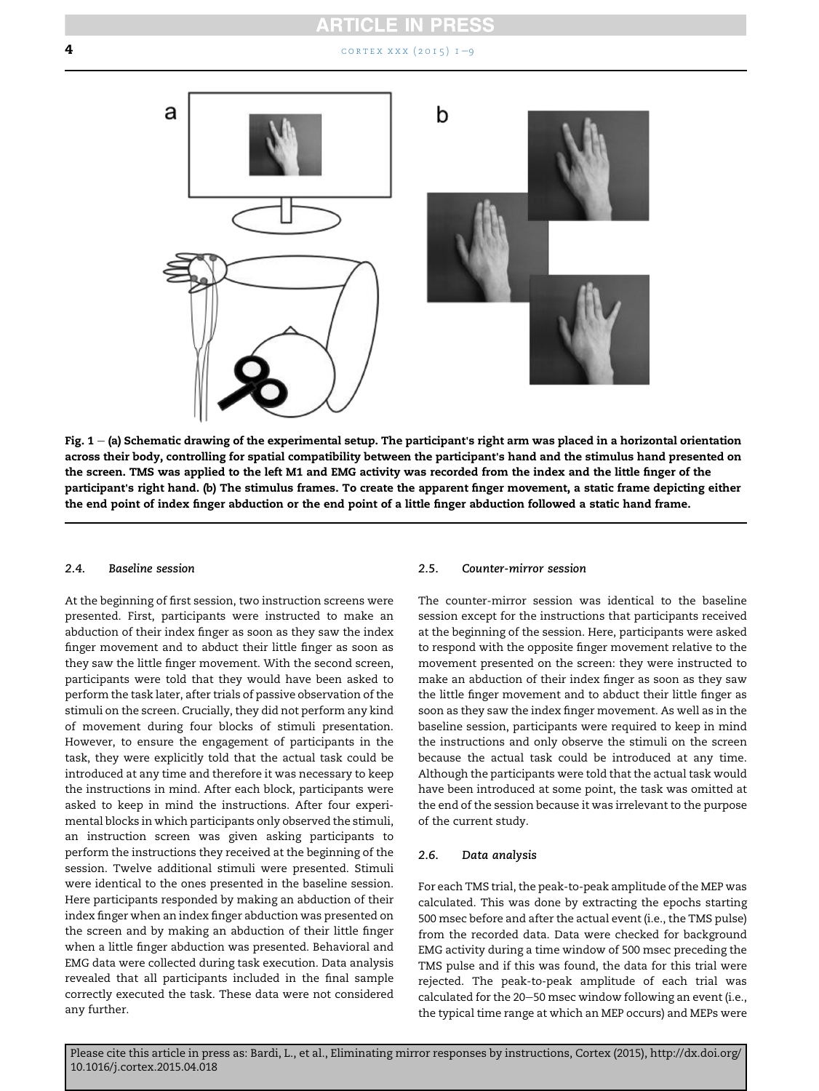<span id="page-3-0"></span>**4** [cortex xxx \(2015\) 1](http://dx.doi.org/10.1016/j.cortex.2015.04.018)-[9](http://dx.doi.org/10.1016/j.cortex.2015.04.018)



Fig.  $1 -$  (a) Schematic drawing of the experimental setup. The participant's right arm was placed in a horizontal orientation across their body, controlling for spatial compatibility between the participant's hand and the stimulus hand presented on the screen. TMS was applied to the left M1 and EMG activity was recorded from the index and the little finger of the participant's right hand. (b) The stimulus frames. To create the apparent finger movement, a static frame depicting either the end point of index finger abduction or the end point of a little finger abduction followed a static hand frame.

#### 2.4. Baseline session

At the beginning of first session, two instruction screens were presented. First, participants were instructed to make an abduction of their index finger as soon as they saw the index finger movement and to abduct their little finger as soon as they saw the little finger movement. With the second screen, participants were told that they would have been asked to perform the task later, after trials of passive observation of the stimuli on the screen. Crucially, they did not perform any kind of movement during four blocks of stimuli presentation. However, to ensure the engagement of participants in the task, they were explicitly told that the actual task could be introduced at any time and therefore it was necessary to keep the instructions in mind. After each block, participants were asked to keep in mind the instructions. After four experimental blocks in which participants only observed the stimuli, an instruction screen was given asking participants to perform the instructions they received at the beginning of the session. Twelve additional stimuli were presented. Stimuli were identical to the ones presented in the baseline session. Here participants responded by making an abduction of their index finger when an index finger abduction was presented on the screen and by making an abduction of their little finger when a little finger abduction was presented. Behavioral and EMG data were collected during task execution. Data analysis revealed that all participants included in the final sample correctly executed the task. These data were not considered any further.

#### 2.5. Counter-mirror session

The counter-mirror session was identical to the baseline session except for the instructions that participants received at the beginning of the session. Here, participants were asked to respond with the opposite finger movement relative to the movement presented on the screen: they were instructed to make an abduction of their index finger as soon as they saw the little finger movement and to abduct their little finger as soon as they saw the index finger movement. As well as in the baseline session, participants were required to keep in mind the instructions and only observe the stimuli on the screen because the actual task could be introduced at any time. Although the participants were told that the actual task would have been introduced at some point, the task was omitted at the end of the session because it was irrelevant to the purpose of the current study.

#### 2.6. Data analysis

For each TMS trial, the peak-to-peak amplitude of the MEP was calculated. This was done by extracting the epochs starting 500 msec before and after the actual event (i.e., the TMS pulse) from the recorded data. Data were checked for background EMG activity during a time window of 500 msec preceding the TMS pulse and if this was found, the data for this trial were rejected. The peak-to-peak amplitude of each trial was calculated for the 20-50 msec window following an event (i.e., the typical time range at which an MEP occurs) and MEPs were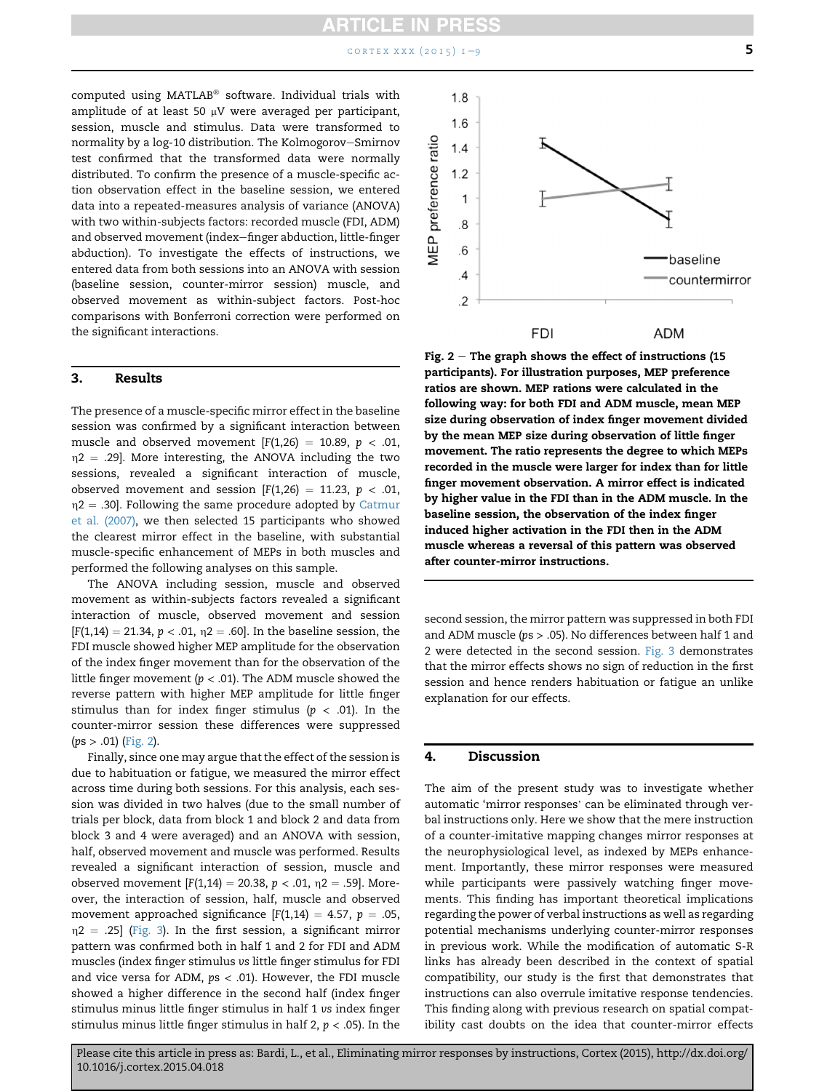$\text{contr } x \times x \text{ (2015)} 1 - 9$  $\text{contr } x \times x \text{ (2015)} 1 - 9$  5

computed using MATLAB® software. Individual trials with amplitude of at least 50  $\mu$ V were averaged per participant, session, muscle and stimulus. Data were transformed to normality by a log-10 distribution. The Kolmogorov-Smirnov test confirmed that the transformed data were normally distributed. To confirm the presence of a muscle-specific action observation effect in the baseline session, we entered data into a repeated-measures analysis of variance (ANOVA) with two within-subjects factors: recorded muscle (FDI, ADM) and observed movement (index-finger abduction, little-finger abduction). To investigate the effects of instructions, we entered data from both sessions into an ANOVA with session (baseline session, counter-mirror session) muscle, and observed movement as within-subject factors. Post-hoc comparisons with Bonferroni correction were performed on the significant interactions.

#### 3. Results

The presence of a muscle-specific mirror effect in the baseline session was confirmed by a significant interaction between muscle and observed movement  $[F(1,26) = 10.89, p < .01,$  $\eta$ 2 = .29]. More interesting, the ANOVA including the two sessions, revealed a significant interaction of muscle, observed movement and session [F(1,26) = 11.23,  $p < .01$ ,  $n2 = .30$ . Following the same procedure adopted by [Catmur](#page-7-0) [et al. \(2007\),](#page-7-0) we then selected 15 participants who showed the clearest mirror effect in the baseline, with substantial muscle-specific enhancement of MEPs in both muscles and performed the following analyses on this sample.

The ANOVA including session, muscle and observed movement as within-subjects factors revealed a significant interaction of muscle, observed movement and session  $[F(1,14) = 21.34, p < .01, \eta2 = .60]$ . In the baseline session, the FDI muscle showed higher MEP amplitude for the observation of the index finger movement than for the observation of the little finger movement ( $p < .01$ ). The ADM muscle showed the reverse pattern with higher MEP amplitude for little finger stimulus than for index finger stimulus ( $p < .01$ ). In the counter-mirror session these differences were suppressed  $(ps > .01)$  (Fig. 2).

Finally, since one may argue that the effect of the session is due to habituation or fatigue, we measured the mirror effect across time during both sessions. For this analysis, each session was divided in two halves (due to the small number of trials per block, data from block 1 and block 2 and data from block 3 and 4 were averaged) and an ANOVA with session, half, observed movement and muscle was performed. Results revealed a significant interaction of session, muscle and observed movement  $[F(1,14) = 20.38, p < .01, \eta$ 2 = .59]. Moreover, the interaction of session, half, muscle and observed movement approached significance  $[F(1,14) = 4.57, p = .05,$  $\eta$ 2 = .25] [\(Fig. 3](#page-5-0)). In the first session, a significant mirror pattern was confirmed both in half 1 and 2 for FDI and ADM muscles (index finger stimulus vs little finger stimulus for FDI and vice versa for ADM,  $ps < .01$ ). However, the FDI muscle showed a higher difference in the second half (index finger stimulus minus little finger stimulus in half 1 vs index finger stimulus minus little finger stimulus in half 2,  $p < .05$ ). In the



Fig.  $2 -$  The graph shows the effect of instructions (15) participants). For illustration purposes, MEP preference ratios are shown. MEP rations were calculated in the following way: for both FDI and ADM muscle, mean MEP size during observation of index finger movement divided by the mean MEP size during observation of little finger movement. The ratio represents the degree to which MEPs recorded in the muscle were larger for index than for little finger movement observation. A mirror effect is indicated by higher value in the FDI than in the ADM muscle. In the baseline session, the observation of the index finger induced higher activation in the FDI then in the ADM muscle whereas a reversal of this pattern was observed after counter-mirror instructions.

second session, the mirror pattern was suppressed in both FDI and ADM muscle (ps > .05). No differences between half 1 and 2 were detected in the second session. [Fig. 3](#page-5-0) demonstrates that the mirror effects shows no sign of reduction in the first session and hence renders habituation or fatigue an unlike explanation for our effects.

#### 4. Discussion

The aim of the present study was to investigate whether automatic 'mirror responses' can be eliminated through verbal instructions only. Here we show that the mere instruction of a counter-imitative mapping changes mirror responses at the neurophysiological level, as indexed by MEPs enhancement. Importantly, these mirror responses were measured while participants were passively watching finger movements. This finding has important theoretical implications regarding the power of verbal instructions as well as regarding potential mechanisms underlying counter-mirror responses in previous work. While the modification of automatic S-R links has already been described in the context of spatial compatibility, our study is the first that demonstrates that instructions can also overrule imitative response tendencies. This finding along with previous research on spatial compatibility cast doubts on the idea that counter-mirror effects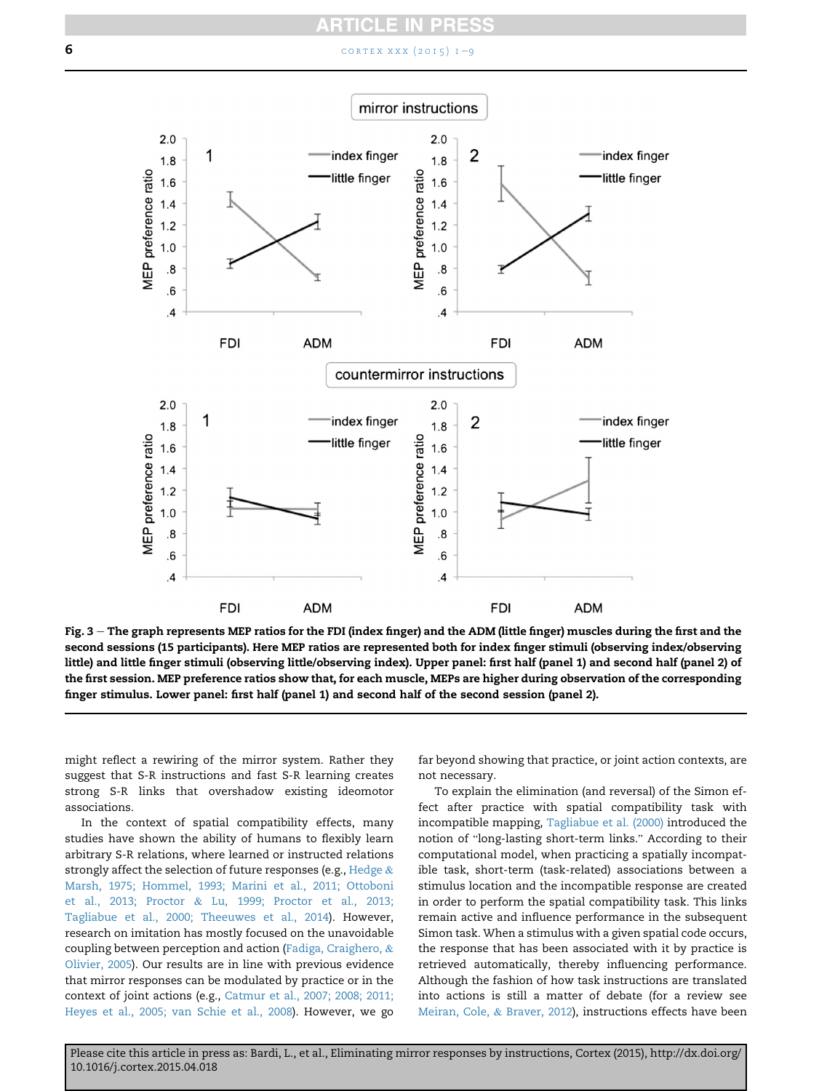### CL

#### <span id="page-5-0"></span>6 **6 cortex XXX**  $(2015)$   $1 - 9$  $1 - 9$



Fig. 3 – The graph represents MEP ratios for the FDI (index finger) and the ADM (little finger) muscles during the first and the second sessions (15 participants). Here MEP ratios are represented both for index finger stimuli (observing index/observing little) and little finger stimuli (observing little/observing index). Upper panel: first half (panel 1) and second half (panel 2) of the first session. MEP preference ratios show that, for each muscle, MEPs are higher during observation of the corresponding finger stimulus. Lower panel: first half (panel 1) and second half of the second session (panel 2).

might reflect a rewiring of the mirror system. Rather they suggest that S-R instructions and fast S-R learning creates strong S-R links that overshadow existing ideomotor associations.

In the context of spatial compatibility effects, many studies have shown the ability of humans to flexibly learn arbitrary S-R relations, where learned or instructed relations strongly affect the selection of future responses (e.g., [Hedge](#page-7-0) & [Marsh, 1975; Hommel, 1993; Marini et al., 2011; Ottoboni](#page-7-0) [et al., 2013; Proctor](#page-7-0) & [Lu, 1999; Proctor et al., 2013;](#page-7-0) [Tagliabue et al., 2000; Theeuwes et al., 2014](#page-7-0)). However, research on imitation has mostly focused on the unavoidable coupling between perception and action [\(Fadiga, Craighero,](#page-7-0) & [Olivier, 2005\)](#page-7-0). Our results are in line with previous evidence that mirror responses can be modulated by practice or in the context of joint actions (e.g., [Catmur et al., 2007; 2008; 2011;](#page-7-0) [Heyes et al., 2005; van Schie et al., 2008\)](#page-7-0). However, we go

far beyond showing that practice, or joint action contexts, are not necessary.

To explain the elimination (and reversal) of the Simon effect after practice with spatial compatibility task with incompatible mapping, [Tagliabue et al. \(2000\)](#page-8-0) introduced the notion of "long-lasting short-term links." According to their computational model, when practicing a spatially incompatible task, short-term (task-related) associations between a stimulus location and the incompatible response are created in order to perform the spatial compatibility task. This links remain active and influence performance in the subsequent Simon task. When a stimulus with a given spatial code occurs, the response that has been associated with it by practice is retrieved automatically, thereby influencing performance. Although the fashion of how task instructions are translated into actions is still a matter of debate (for a review see [Meiran, Cole,](#page-7-0) & [Braver, 2012](#page-7-0)), instructions effects have been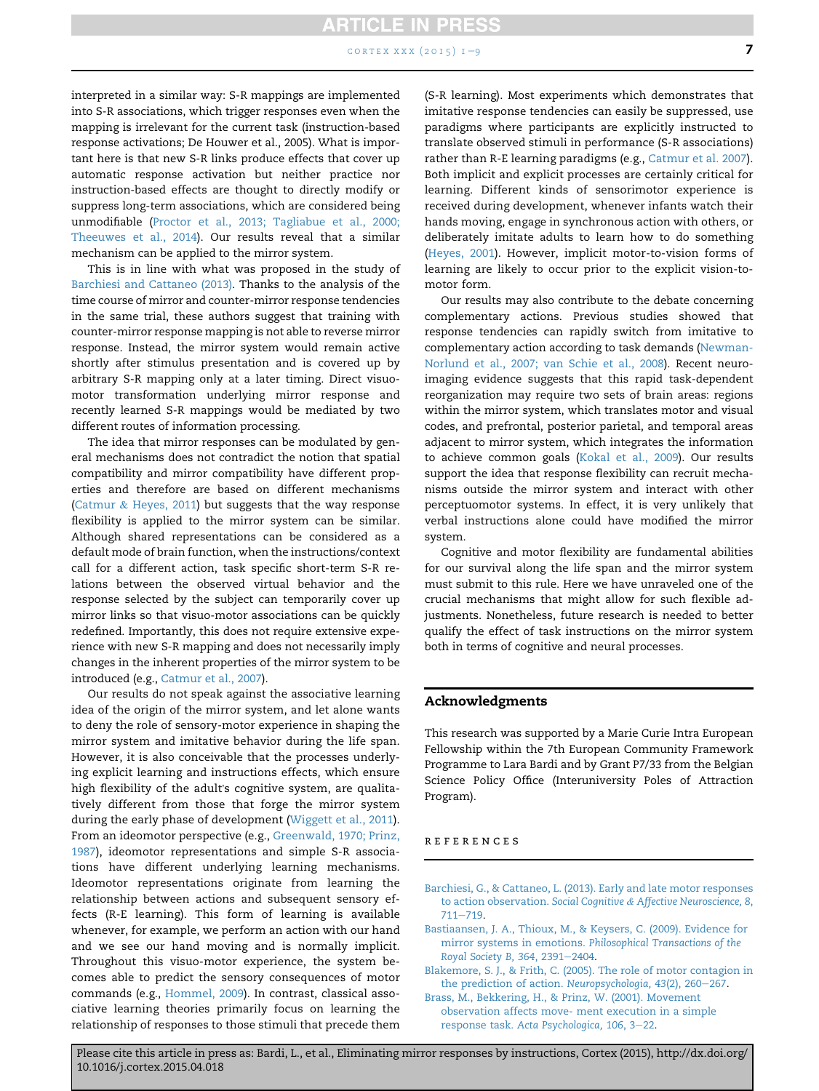#### $CORTEX XXX (2015) 1–9$  $CORTEX XXX (2015) 1–9$  7

<span id="page-6-0"></span>interpreted in a similar way: S-R mappings are implemented into S-R associations, which trigger responses even when the mapping is irrelevant for the current task (instruction-based response activations; De Houwer et al., 2005). What is important here is that new S-R links produce effects that cover up automatic response activation but neither practice nor instruction-based effects are thought to directly modify or suppress long-term associations, which are considered being unmodifiable [\(Proctor et al., 2013; Tagliabue et al., 2000;](#page-7-0) [Theeuwes et al., 2014](#page-7-0)). Our results reveal that a similar mechanism can be applied to the mirror system.

This is in line with what was proposed in the study of Barchiesi and Cattaneo (2013). Thanks to the analysis of the time course of mirror and counter-mirror response tendencies in the same trial, these authors suggest that training with counter-mirror response mapping is not able to reverse mirror response. Instead, the mirror system would remain active shortly after stimulus presentation and is covered up by arbitrary S-R mapping only at a later timing. Direct visuomotor transformation underlying mirror response and recently learned S-R mappings would be mediated by two different routes of information processing.

The idea that mirror responses can be modulated by general mechanisms does not contradict the notion that spatial compatibility and mirror compatibility have different properties and therefore are based on different mechanisms [\(Catmur](#page-7-0) & [Heyes, 2011](#page-7-0)) but suggests that the way response flexibility is applied to the mirror system can be similar. Although shared representations can be considered as a default mode of brain function, when the instructions/context call for a different action, task specific short-term S-R relations between the observed virtual behavior and the response selected by the subject can temporarily cover up mirror links so that visuo-motor associations can be quickly redefined. Importantly, this does not require extensive experience with new S-R mapping and does not necessarily imply changes in the inherent properties of the mirror system to be introduced (e.g., [Catmur et al., 2007](#page-7-0)).

Our results do not speak against the associative learning idea of the origin of the mirror system, and let alone wants to deny the role of sensory-motor experience in shaping the mirror system and imitative behavior during the life span. However, it is also conceivable that the processes underlying explicit learning and instructions effects, which ensure high flexibility of the adult's cognitive system, are qualitatively different from those that forge the mirror system during the early phase of development ([Wiggett et al., 2011](#page-8-0)). From an ideomotor perspective (e.g., [Greenwald, 1970; Prinz,](#page-7-0) [1987\)](#page-7-0), ideomotor representations and simple S-R associations have different underlying learning mechanisms. Ideomotor representations originate from learning the relationship between actions and subsequent sensory effects (R-E learning). This form of learning is available whenever, for example, we perform an action with our hand and we see our hand moving and is normally implicit. Throughout this visuo-motor experience, the system becomes able to predict the sensory consequences of motor commands (e.g., [Hommel, 2009](#page-7-0)). In contrast, classical associative learning theories primarily focus on learning the relationship of responses to those stimuli that precede them

(S-R learning). Most experiments which demonstrates that imitative response tendencies can easily be suppressed, use paradigms where participants are explicitly instructed to translate observed stimuli in performance (S-R associations) rather than R-E learning paradigms (e.g., [Catmur et al. 2007](#page-7-0)). Both implicit and explicit processes are certainly critical for learning. Different kinds of sensorimotor experience is received during development, whenever infants watch their hands moving, engage in synchronous action with others, or deliberately imitate adults to learn how to do something [\(Heyes, 2001\)](#page-7-0). However, implicit motor-to-vision forms of learning are likely to occur prior to the explicit vision-tomotor form.

Our results may also contribute to the debate concerning complementary actions. Previous studies showed that response tendencies can rapidly switch from imitative to complementary action according to task demands [\(Newman-](#page-7-0)[Norlund et al., 2007; van Schie et al., 2008\)](#page-7-0). Recent neuroimaging evidence suggests that this rapid task-dependent reorganization may require two sets of brain areas: regions within the mirror system, which translates motor and visual codes, and prefrontal, posterior parietal, and temporal areas adjacent to mirror system, which integrates the information to achieve common goals ([Kokal et al., 2009](#page-7-0)). Our results support the idea that response flexibility can recruit mechanisms outside the mirror system and interact with other perceptuomotor systems. In effect, it is very unlikely that verbal instructions alone could have modified the mirror system.

Cognitive and motor flexibility are fundamental abilities for our survival along the life span and the mirror system must submit to this rule. Here we have unraveled one of the crucial mechanisms that might allow for such flexible adjustments. Nonetheless, future research is needed to better qualify the effect of task instructions on the mirror system both in terms of cognitive and neural processes.

#### Acknowledgments

This research was supported by a Marie Curie Intra European Fellowship within the 7th European Community Framework Programme to Lara Bardi and by Grant P7/33 from the Belgian Science Policy Office (Interuniversity Poles of Attraction Program).

#### references

- [Barchiesi, G., & Cattaneo, L. \(2013\). Early and late motor responses](http://refhub.elsevier.com/S0010-9452(15)00142-2/sref1) [to action observation.](http://refhub.elsevier.com/S0010-9452(15)00142-2/sref1) Social Cognitive & [Affective Neuroscience, 8](http://refhub.elsevier.com/S0010-9452(15)00142-2/sref1),  $711 - 719.$  $711 - 719.$  $711 - 719.$  $711 - 719.$
- [Bastiaansen, J. A., Thioux, M., & Keysers, C. \(2009\). Evidence for](http://refhub.elsevier.com/S0010-9452(15)00142-2/sref2) mirror systems in emotions. [Philosophical Transactions of the](http://refhub.elsevier.com/S0010-9452(15)00142-2/sref2) [Royal Society B, 364](http://refhub.elsevier.com/S0010-9452(15)00142-2/sref2), 2391-[2404](http://refhub.elsevier.com/S0010-9452(15)00142-2/sref2).
- [Blakemore, S. J., & Frith, C. \(2005\). The role of motor contagion in](http://refhub.elsevier.com/S0010-9452(15)00142-2/sref3) [the prediction of action.](http://refhub.elsevier.com/S0010-9452(15)00142-2/sref3) Neuropsychologia, 43(2), 260-[267](http://refhub.elsevier.com/S0010-9452(15)00142-2/sref3).
- [Brass, M., Bekkering, H., & Prinz, W. \(2001\). Movement](http://refhub.elsevier.com/S0010-9452(15)00142-2/sref4) [observation affects move- ment execution in a simple](http://refhub.elsevier.com/S0010-9452(15)00142-2/sref4) response task. [Acta Psychologica, 106](http://refhub.elsevier.com/S0010-9452(15)00142-2/sref4), 3-[22](http://refhub.elsevier.com/S0010-9452(15)00142-2/sref4).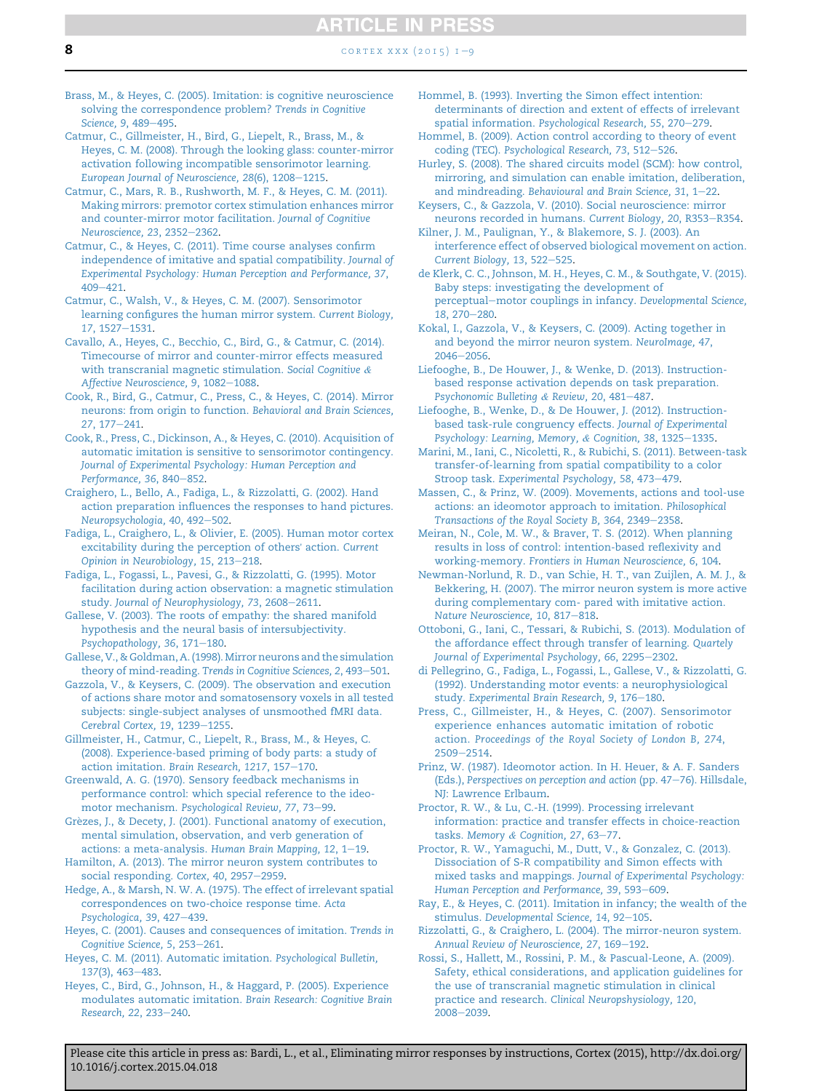<span id="page-7-0"></span>[Brass, M., & Heyes, C. \(2005\). Imitation: is cognitive neuroscience](http://refhub.elsevier.com/S0010-9452(15)00142-2/sref5) [solving the correspondence problem?](http://refhub.elsevier.com/S0010-9452(15)00142-2/sref5) Trends in Cognitive [Science, 9](http://refhub.elsevier.com/S0010-9452(15)00142-2/sref5), 489-[495.](http://refhub.elsevier.com/S0010-9452(15)00142-2/sref5)

- [Catmur, C., Gillmeister, H., Bird, G., Liepelt, R., Brass, M., &](http://refhub.elsevier.com/S0010-9452(15)00142-2/sref7) [Heyes, C. M. \(2008\). Through the looking glass: counter-mirror](http://refhub.elsevier.com/S0010-9452(15)00142-2/sref7) [activation following incompatible sensorimotor learning.](http://refhub.elsevier.com/S0010-9452(15)00142-2/sref7) [European Journal of Neuroscience, 28](http://refhub.elsevier.com/S0010-9452(15)00142-2/sref7)(6), 1208-[1215.](http://refhub.elsevier.com/S0010-9452(15)00142-2/sref7)
- [Catmur, C., Mars, R. B., Rushworth, M. F., & Heyes, C. M. \(2011\).](http://refhub.elsevier.com/S0010-9452(15)00142-2/sref8) [Making mirrors: premotor cortex stimulation enhances mirror](http://refhub.elsevier.com/S0010-9452(15)00142-2/sref8) [and counter-mirror motor facilitation.](http://refhub.elsevier.com/S0010-9452(15)00142-2/sref8) Journal of Cognitive [Neuroscience, 23](http://refhub.elsevier.com/S0010-9452(15)00142-2/sref8), 2352-[2362.](http://refhub.elsevier.com/S0010-9452(15)00142-2/sref8)
- [Catmur, C., & Heyes, C. \(2011\). Time course analyses confirm](http://refhub.elsevier.com/S0010-9452(15)00142-2/sref58) [independence of imitative and spatial compatibility.](http://refhub.elsevier.com/S0010-9452(15)00142-2/sref58) Journal of [Experimental Psychology: Human Perception and Performance, 37](http://refhub.elsevier.com/S0010-9452(15)00142-2/sref58),  $409 - 421$  $409 - 421$ .
- [Catmur, C., Walsh, V., & Heyes, C. M. \(2007\). Sensorimotor](http://refhub.elsevier.com/S0010-9452(15)00142-2/sref9) [learning configures the human mirror system.](http://refhub.elsevier.com/S0010-9452(15)00142-2/sref9) Current Biology, 17[, 1527](http://refhub.elsevier.com/S0010-9452(15)00142-2/sref9)-[1531.](http://refhub.elsevier.com/S0010-9452(15)00142-2/sref9)
- [Cavallo, A., Heyes, C., Becchio, C., Bird, G., & Catmur, C. \(2014\).](http://refhub.elsevier.com/S0010-9452(15)00142-2/sref10) [Timecourse of mirror and counter-mirror effects measured](http://refhub.elsevier.com/S0010-9452(15)00142-2/sref10) [with transcranial magnetic stimulation.](http://refhub.elsevier.com/S0010-9452(15)00142-2/sref10) Social Cognitive & [Affective Neuroscience, 9](http://refhub.elsevier.com/S0010-9452(15)00142-2/sref10), 1082-[1088.](http://refhub.elsevier.com/S0010-9452(15)00142-2/sref10)
- [Cook, R., Bird, G., Catmur, C., Press, C., & Heyes, C. \(2014\). Mirror](http://refhub.elsevier.com/S0010-9452(15)00142-2/sref11) [neurons: from origin to function.](http://refhub.elsevier.com/S0010-9452(15)00142-2/sref11) Behavioral and Brain Sciences,  $27.177 - 241.$  $27.177 - 241.$  $27.177 - 241.$
- [Cook, R., Press, C., Dickinson, A., & Heyes, C. \(2010\). Acquisition of](http://refhub.elsevier.com/S0010-9452(15)00142-2/sref12) [automatic imitation is sensitive to sensorimotor contingency.](http://refhub.elsevier.com/S0010-9452(15)00142-2/sref12) [Journal of Experimental Psychology: Human Perception and](http://refhub.elsevier.com/S0010-9452(15)00142-2/sref12) [Performance, 36](http://refhub.elsevier.com/S0010-9452(15)00142-2/sref12), 840-[852](http://refhub.elsevier.com/S0010-9452(15)00142-2/sref12).
- [Craighero, L., Bello, A., Fadiga, L., & Rizzolatti, G. \(2002\). Hand](http://refhub.elsevier.com/S0010-9452(15)00142-2/sref13) [action preparation influences the responses to hand pictures.](http://refhub.elsevier.com/S0010-9452(15)00142-2/sref13) [Neuropsychologia, 40](http://refhub.elsevier.com/S0010-9452(15)00142-2/sref13), 492-[502](http://refhub.elsevier.com/S0010-9452(15)00142-2/sref13).
- [Fadiga, L., Craighero, L., & Olivier, E. \(2005\). Human motor cortex](http://refhub.elsevier.com/S0010-9452(15)00142-2/sref14) [excitability during the perception of others](http://refhub.elsevier.com/S0010-9452(15)00142-2/sref14)' action. Current [Opinion in Neurobiology, 15](http://refhub.elsevier.com/S0010-9452(15)00142-2/sref14), 213-[218.](http://refhub.elsevier.com/S0010-9452(15)00142-2/sref14)
- [Fadiga, L., Fogassi, L., Pavesi, G., & Rizzolatti, G. \(1995\). Motor](http://refhub.elsevier.com/S0010-9452(15)00142-2/sref15) [facilitation during action observation: a magnetic stimulation](http://refhub.elsevier.com/S0010-9452(15)00142-2/sref15) study. [Journal of Neurophysiology, 73](http://refhub.elsevier.com/S0010-9452(15)00142-2/sref15), 2608-[2611.](http://refhub.elsevier.com/S0010-9452(15)00142-2/sref15)
- [Gallese, V. \(2003\). The roots of empathy: the shared manifold](http://refhub.elsevier.com/S0010-9452(15)00142-2/sref16) [hypothesis and the neural basis of intersubjectivity.](http://refhub.elsevier.com/S0010-9452(15)00142-2/sref16) [Psychopathology, 36](http://refhub.elsevier.com/S0010-9452(15)00142-2/sref16), 171-[180.](http://refhub.elsevier.com/S0010-9452(15)00142-2/sref16)
- [Gallese, V., & Goldman, A. \(1998\). Mirror neurons and the simulation](http://refhub.elsevier.com/S0010-9452(15)00142-2/sref17) theory of mind-reading. [Trends in Cognitive Sciences, 2](http://refhub.elsevier.com/S0010-9452(15)00142-2/sref17), 493-[501.](http://refhub.elsevier.com/S0010-9452(15)00142-2/sref17)
- [Gazzola, V., & Keysers, C. \(2009\). The observation and execution](http://refhub.elsevier.com/S0010-9452(15)00142-2/sref18) [of actions share motor and somatosensory voxels in all tested](http://refhub.elsevier.com/S0010-9452(15)00142-2/sref18) [subjects: single-subject analyses of unsmoothed fMRI data.](http://refhub.elsevier.com/S0010-9452(15)00142-2/sref18) [Cerebral Cortex, 19](http://refhub.elsevier.com/S0010-9452(15)00142-2/sref18), 1239-[1255.](http://refhub.elsevier.com/S0010-9452(15)00142-2/sref18)
- [Gillmeister, H., Catmur, C., Liepelt, R., Brass, M., & Heyes, C.](http://refhub.elsevier.com/S0010-9452(15)00142-2/sref19) [\(2008\). Experience-based priming of body parts: a study of](http://refhub.elsevier.com/S0010-9452(15)00142-2/sref19) action imitation. [Brain Research, 1217](http://refhub.elsevier.com/S0010-9452(15)00142-2/sref19), 157-[170](http://refhub.elsevier.com/S0010-9452(15)00142-2/sref19).

[Greenwald, A. G. \(1970\). Sensory feedback mechanisms in](http://refhub.elsevier.com/S0010-9452(15)00142-2/sref20) [performance control: which special reference to the ideo-](http://refhub.elsevier.com/S0010-9452(15)00142-2/sref20)motor mechanism. [Psychological Review, 77](http://refhub.elsevier.com/S0010-9452(15)00142-2/sref20), 73-[99](http://refhub.elsevier.com/S0010-9452(15)00142-2/sref20).

- Grèzes, J., & Decety, J. (2001). Functional anatomy of execution, [mental simulation, observation, and verb generation of](http://refhub.elsevier.com/S0010-9452(15)00142-2/sref21) [actions: a meta-analysis.](http://refhub.elsevier.com/S0010-9452(15)00142-2/sref21) Human Brain Mapping,  $12, 1-19$ .
- [Hamilton, A. \(2013\). The mirror neuron system contributes to](http://refhub.elsevier.com/S0010-9452(15)00142-2/sref22) [social responding.](http://refhub.elsevier.com/S0010-9452(15)00142-2/sref22) Cortex, 40, 2957-[2959](http://refhub.elsevier.com/S0010-9452(15)00142-2/sref22).
- [Hedge, A., & Marsh, N. W. A. \(1975\). The effect of irrelevant spatial](http://refhub.elsevier.com/S0010-9452(15)00142-2/sref23) [correspondences on two-choice response time.](http://refhub.elsevier.com/S0010-9452(15)00142-2/sref23) Acta [Psychologica, 39](http://refhub.elsevier.com/S0010-9452(15)00142-2/sref23), 427-[439](http://refhub.elsevier.com/S0010-9452(15)00142-2/sref23).
- [Heyes, C. \(2001\). Causes and consequences of imitation.](http://refhub.elsevier.com/S0010-9452(15)00142-2/sref24) Trends in [Cognitive Science, 5](http://refhub.elsevier.com/S0010-9452(15)00142-2/sref24), 253-[261](http://refhub.elsevier.com/S0010-9452(15)00142-2/sref24).
- [Heyes, C. M. \(2011\). Automatic imitation.](http://refhub.elsevier.com/S0010-9452(15)00142-2/sref25) Psychological Bulletin, 137[\(3\), 463](http://refhub.elsevier.com/S0010-9452(15)00142-2/sref25)-[483](http://refhub.elsevier.com/S0010-9452(15)00142-2/sref25).
- [Heyes, C., Bird, G., Johnson, H., & Haggard, P. \(2005\). Experience](http://refhub.elsevier.com/S0010-9452(15)00142-2/sref26) [modulates automatic imitation.](http://refhub.elsevier.com/S0010-9452(15)00142-2/sref26) Brain Research: Cognitive Brain [Research, 22](http://refhub.elsevier.com/S0010-9452(15)00142-2/sref26), 233-[240.](http://refhub.elsevier.com/S0010-9452(15)00142-2/sref26)
- [Hommel, B. \(1993\). Inverting the Simon effect intention:](http://refhub.elsevier.com/S0010-9452(15)00142-2/sref27) [determinants of direction and extent of effects of irrelevant](http://refhub.elsevier.com/S0010-9452(15)00142-2/sref27) spatial information. [Psychological Research, 55](http://refhub.elsevier.com/S0010-9452(15)00142-2/sref27), 270-[279](http://refhub.elsevier.com/S0010-9452(15)00142-2/sref27).
- [Hommel, B. \(2009\). Action control according to theory of event](http://refhub.elsevier.com/S0010-9452(15)00142-2/sref28) coding (TEC). [Psychological Research, 73](http://refhub.elsevier.com/S0010-9452(15)00142-2/sref28), 512-[526](http://refhub.elsevier.com/S0010-9452(15)00142-2/sref28).
- [Hurley, S. \(2008\). The shared circuits model \(SCM\): how control,](http://refhub.elsevier.com/S0010-9452(15)00142-2/sref29) [mirroring, and simulation can enable imitation, deliberation,](http://refhub.elsevier.com/S0010-9452(15)00142-2/sref29) and mindreading. Behavioural and Brain Science,  $31, 1-22$ .
- [Keysers, C., & Gazzola, V. \(2010\). Social neuroscience: mirror](http://refhub.elsevier.com/S0010-9452(15)00142-2/sref31) [neurons recorded in humans.](http://refhub.elsevier.com/S0010-9452(15)00142-2/sref31) Current Biology, 20, R353-[R354.](http://refhub.elsevier.com/S0010-9452(15)00142-2/sref31)
- [Kilner, J. M., Paulignan, Y., & Blakemore, S. J. \(2003\). An](http://refhub.elsevier.com/S0010-9452(15)00142-2/sref32) [interference effect of observed biological movement on action.](http://refhub.elsevier.com/S0010-9452(15)00142-2/sref32) [Current Biology, 13](http://refhub.elsevier.com/S0010-9452(15)00142-2/sref32), 522-[525.](http://refhub.elsevier.com/S0010-9452(15)00142-2/sref32)
- [de Klerk, C. C., Johnson, M. H., Heyes, C. M., & Southgate, V. \(2015\).](http://refhub.elsevier.com/S0010-9452(15)00142-2/sref33) [Baby steps: investigating the development of](http://refhub.elsevier.com/S0010-9452(15)00142-2/sref33) [perceptual](http://refhub.elsevier.com/S0010-9452(15)00142-2/sref33)-[motor couplings in infancy.](http://refhub.elsevier.com/S0010-9452(15)00142-2/sref33) Developmental Science,  $18.270 - 280.$  $18.270 - 280.$  $18.270 - 280.$
- [Kokal, I., Gazzola, V., & Keysers, C. \(2009\). Acting together in](http://refhub.elsevier.com/S0010-9452(15)00142-2/sref34) [and beyond the mirror neuron system.](http://refhub.elsevier.com/S0010-9452(15)00142-2/sref34) NeuroImage, 47,  $2046 - 2056$  $2046 - 2056$ .
- [Liefooghe, B., De Houwer, J., & Wenke, D. \(2013\). Instruction](http://refhub.elsevier.com/S0010-9452(15)00142-2/sref35)[based response activation depends on task preparation.](http://refhub.elsevier.com/S0010-9452(15)00142-2/sref35) [Psychonomic Bulleting](http://refhub.elsevier.com/S0010-9452(15)00142-2/sref35) & [Review, 20](http://refhub.elsevier.com/S0010-9452(15)00142-2/sref35), 481-[487.](http://refhub.elsevier.com/S0010-9452(15)00142-2/sref35)
- [Liefooghe, B., Wenke, D., & De Houwer, J. \(2012\). Instruction](http://refhub.elsevier.com/S0010-9452(15)00142-2/sref36)[based task-rule congruency effects.](http://refhub.elsevier.com/S0010-9452(15)00142-2/sref36) Journal of Experimental [Psychology: Learning, Memory,](http://refhub.elsevier.com/S0010-9452(15)00142-2/sref36) & [Cognition, 38](http://refhub.elsevier.com/S0010-9452(15)00142-2/sref36), 1325-[1335.](http://refhub.elsevier.com/S0010-9452(15)00142-2/sref36)
- [Marini, M., Iani, C., Nicoletti, R., & Rubichi, S. \(2011\). Between-task](http://refhub.elsevier.com/S0010-9452(15)00142-2/sref37) [transfer-of-learning from spatial compatibility to a color](http://refhub.elsevier.com/S0010-9452(15)00142-2/sref37) Stroop task. [Experimental Psychology, 58](http://refhub.elsevier.com/S0010-9452(15)00142-2/sref37), 473-[479](http://refhub.elsevier.com/S0010-9452(15)00142-2/sref37).
- [Massen, C., & Prinz, W. \(2009\). Movements, actions and tool-use](http://refhub.elsevier.com/S0010-9452(15)00142-2/sref38) [actions: an ideomotor approach to imitation.](http://refhub.elsevier.com/S0010-9452(15)00142-2/sref38) Philosophical [Transactions of the Royal Society B, 364](http://refhub.elsevier.com/S0010-9452(15)00142-2/sref38), 2349-[2358.](http://refhub.elsevier.com/S0010-9452(15)00142-2/sref38)
- [Meiran, N., Cole, M. W., & Braver, T. S. \(2012\). When planning](http://refhub.elsevier.com/S0010-9452(15)00142-2/sref39) [results in loss of control: intention-based reflexivity and](http://refhub.elsevier.com/S0010-9452(15)00142-2/sref39) working-memory. [Frontiers in Human Neuroscience, 6](http://refhub.elsevier.com/S0010-9452(15)00142-2/sref39), 104.
- [Newman-Norlund, R. D., van Schie, H. T., van Zuijlen, A. M. J., &](http://refhub.elsevier.com/S0010-9452(15)00142-2/sref40) [Bekkering, H. \(2007\). The mirror neuron system is more active](http://refhub.elsevier.com/S0010-9452(15)00142-2/sref40) [during complementary com- pared with imitative action.](http://refhub.elsevier.com/S0010-9452(15)00142-2/sref40) [Nature Neuroscience, 10](http://refhub.elsevier.com/S0010-9452(15)00142-2/sref40), 817-[818](http://refhub.elsevier.com/S0010-9452(15)00142-2/sref40).
- [Ottoboni, G., Iani, C., Tessari, & Rubichi, S. \(2013\). Modulation of](http://refhub.elsevier.com/S0010-9452(15)00142-2/sref41) [the affordance effect through transfer of learning.](http://refhub.elsevier.com/S0010-9452(15)00142-2/sref41) Quartely [Journal of Experimental Psychology, 66](http://refhub.elsevier.com/S0010-9452(15)00142-2/sref41), 2295-[2302](http://refhub.elsevier.com/S0010-9452(15)00142-2/sref41).
- [di Pellegrino, G., Fadiga, L., Fogassi, L., Gallese, V., & Rizzolatti, G.](http://refhub.elsevier.com/S0010-9452(15)00142-2/sref42) [\(1992\). Understanding motor events: a neurophysiological](http://refhub.elsevier.com/S0010-9452(15)00142-2/sref42) study. [Experimental Brain Research, 9](http://refhub.elsevier.com/S0010-9452(15)00142-2/sref42), 176-[180.](http://refhub.elsevier.com/S0010-9452(15)00142-2/sref42)
- [Press, C., Gillmeister, H., & Heyes, C. \(2007\). Sensorimotor](http://refhub.elsevier.com/S0010-9452(15)00142-2/sref43) [experience enhances automatic imitation of robotic](http://refhub.elsevier.com/S0010-9452(15)00142-2/sref43) action. [Proceedings of the Royal Society of London B, 274](http://refhub.elsevier.com/S0010-9452(15)00142-2/sref43), [2509](http://refhub.elsevier.com/S0010-9452(15)00142-2/sref43)-[2514](http://refhub.elsevier.com/S0010-9452(15)00142-2/sref43).
- [Prinz, W. \(1987\). Ideomotor action. In H. Heuer, & A. F. Sanders](http://refhub.elsevier.com/S0010-9452(15)00142-2/sref44) (Eds.), [Perspectives on perception and action](http://refhub.elsevier.com/S0010-9452(15)00142-2/sref44) (pp.  $47-76$ ). Hillsdale, [NJ: Lawrence Erlbaum.](http://refhub.elsevier.com/S0010-9452(15)00142-2/sref44)
- [Proctor, R. W., & Lu, C.-H. \(1999\). Processing irrelevant](http://refhub.elsevier.com/S0010-9452(15)00142-2/sref45) [information: practice and transfer effects in choice-reaction](http://refhub.elsevier.com/S0010-9452(15)00142-2/sref45) tasks. [Memory](http://refhub.elsevier.com/S0010-9452(15)00142-2/sref45) & [Cognition, 27](http://refhub.elsevier.com/S0010-9452(15)00142-2/sref45), 63-[77.](http://refhub.elsevier.com/S0010-9452(15)00142-2/sref45)
- [Proctor, R. W., Yamaguchi, M., Dutt, V., & Gonzalez, C. \(2013\).](http://refhub.elsevier.com/S0010-9452(15)00142-2/sref46) [Dissociation of S-R compatibility and Simon effects with](http://refhub.elsevier.com/S0010-9452(15)00142-2/sref46) mixed tasks and mappings. [Journal of Experimental Psychology:](http://refhub.elsevier.com/S0010-9452(15)00142-2/sref46) [Human Perception and Performance, 39](http://refhub.elsevier.com/S0010-9452(15)00142-2/sref46), 593-[609.](http://refhub.elsevier.com/S0010-9452(15)00142-2/sref46)
- [Ray, E., & Heyes, C. \(2011\). Imitation in infancy; the wealth of the](http://refhub.elsevier.com/S0010-9452(15)00142-2/sref47) stimulus. [Developmental Science, 14](http://refhub.elsevier.com/S0010-9452(15)00142-2/sref47), 92-[105](http://refhub.elsevier.com/S0010-9452(15)00142-2/sref47).
- [Rizzolatti, G., & Craighero, L. \(2004\). The mirror-neuron system.](http://refhub.elsevier.com/S0010-9452(15)00142-2/sref48) [Annual Review of Neuroscience, 27](http://refhub.elsevier.com/S0010-9452(15)00142-2/sref48), 169-[192.](http://refhub.elsevier.com/S0010-9452(15)00142-2/sref48)
- [Rossi, S., Hallett, M., Rossini, P. M., & Pascual-Leone, A. \(2009\).](http://refhub.elsevier.com/S0010-9452(15)00142-2/sref49) [Safety, ethical considerations, and application guidelines for](http://refhub.elsevier.com/S0010-9452(15)00142-2/sref49) [the use of transcranial magnetic stimulation in clinical](http://refhub.elsevier.com/S0010-9452(15)00142-2/sref49) practice and research. [Clinical Neuropshysiology, 120](http://refhub.elsevier.com/S0010-9452(15)00142-2/sref49), [2008](http://refhub.elsevier.com/S0010-9452(15)00142-2/sref49)-[2039.](http://refhub.elsevier.com/S0010-9452(15)00142-2/sref49)